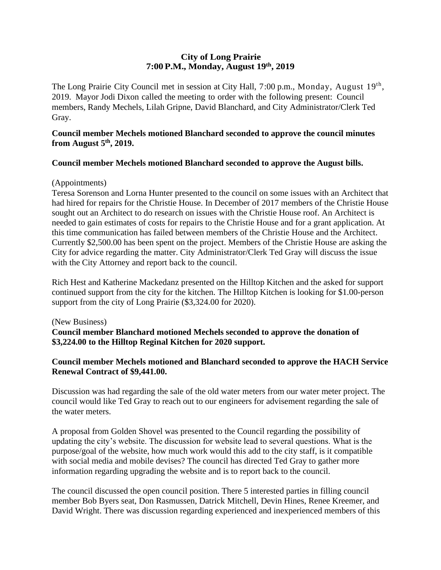## **City of Long Prairie 7:00P.M., Monday, August 19th , 2019**

The Long Prairie City Council met in session at City Hall, 7:00 p.m., Monday, August 19<sup>th</sup>, 2019. Mayor Jodi Dixon called the meeting to order with the following present: Council members, Randy Mechels, Lilah Gripne, David Blanchard, and City Administrator/Clerk Ted Gray.

## **Council member Mechels motioned Blanchard seconded to approve the council minutes from August 5th, 2019.**

# **Council member Mechels motioned Blanchard seconded to approve the August bills.**

### (Appointments)

Teresa Sorenson and Lorna Hunter presented to the council on some issues with an Architect that had hired for repairs for the Christie House. In December of 2017 members of the Christie House sought out an Architect to do research on issues with the Christie House roof. An Architect is needed to gain estimates of costs for repairs to the Christie House and for a grant application. At this time communication has failed between members of the Christie House and the Architect. Currently \$2,500.00 has been spent on the project. Members of the Christie House are asking the City for advice regarding the matter. City Administrator/Clerk Ted Gray will discuss the issue with the City Attorney and report back to the council.

Rich Hest and Katherine Mackedanz presented on the Hilltop Kitchen and the asked for support continued support from the city for the kitchen. The Hilltop Kitchen is looking for \$1.00-person support from the city of Long Prairie (\$3,324.00 for 2020).

#### (New Business)

**Council member Blanchard motioned Mechels seconded to approve the donation of \$3,224.00 to the Hilltop Reginal Kitchen for 2020 support.** 

# **Council member Mechels motioned and Blanchard seconded to approve the HACH Service Renewal Contract of \$9,441.00.**

Discussion was had regarding the sale of the old water meters from our water meter project. The council would like Ted Gray to reach out to our engineers for advisement regarding the sale of the water meters.

A proposal from Golden Shovel was presented to the Council regarding the possibility of updating the city's website. The discussion for website lead to several questions. What is the purpose/goal of the website, how much work would this add to the city staff, is it compatible with social media and mobile devises? The council has directed Ted Gray to gather more information regarding upgrading the website and is to report back to the council.

The council discussed the open council position. There 5 interested parties in filling council member Bob Byers seat, Don Rasmussen, Datrick Mitchell, Devin Hines, Renee Kreemer, and David Wright. There was discussion regarding experienced and inexperienced members of this